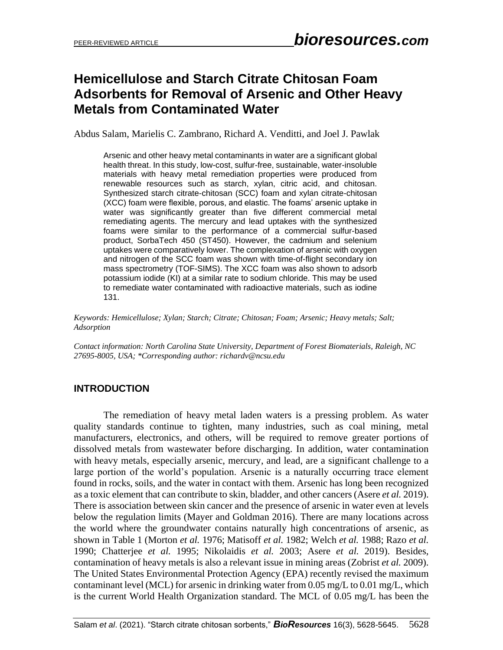# **Hemicellulose and Starch Citrate Chitosan Foam Adsorbents for Removal of Arsenic and Other Heavy Metals from Contaminated Water**

Abdus Salam, Marielis C. Zambrano, Richard A. Venditti, and Joel J. Pawlak

Arsenic and other heavy metal contaminants in water are a significant global health threat. In this study, low-cost, sulfur-free, sustainable, water-insoluble materials with heavy metal remediation properties were produced from renewable resources such as starch, xylan, citric acid, and chitosan. Synthesized starch citrate-chitosan (SCC) foam and xylan citrate-chitosan (XCC) foam were flexible, porous, and elastic. The foams' arsenic uptake in water was significantly greater than five different commercial metal remediating agents. The mercury and lead uptakes with the synthesized foams were similar to the performance of a commercial sulfur-based product, SorbaTech 450 (ST450). However, the cadmium and selenium uptakes were comparatively lower. The complexation of arsenic with oxygen and nitrogen of the SCC foam was shown with time-of-flight secondary ion mass spectrometry (TOF-SIMS). The XCC foam was also shown to adsorb potassium iodide (KI) at a similar rate to sodium chloride. This may be used to remediate water contaminated with radioactive materials, such as iodine 131.

*Keywords: Hemicellulose; Xylan; Starch; Citrate; Chitosan; Foam; Arsenic; Heavy metals; Salt; Adsorption*

*Contact information: North Carolina State University, Department of Forest Biomaterials, Raleigh, NC 27695-8005, USA; \*Corresponding author: richardv@ncsu.edu*

## **INTRODUCTION**

The remediation of heavy metal laden waters is a pressing problem. As water quality standards continue to tighten, many industries, such as coal mining, metal manufacturers, electronics, and others, will be required to remove greater portions of dissolved metals from wastewater before discharging. In addition, water contamination with heavy metals, especially arsenic, mercury, and lead, are a significant challenge to a large portion of the world's population. Arsenic is a naturally occurring trace element found in rocks, soils, and the water in contact with them. Arsenic has long been recognized as a toxic element that can contribute to skin, bladder, and other cancers (Asere *et al.* 2019). There is association between skin cancer and the presence of arsenic in water even at levels below the regulation limits (Mayer and Goldman 2016). There are many locations across the world where the groundwater contains naturally high concentrations of arsenic, as shown in Table 1 (Morton *et al.* 1976; Matisoff *et al.* 1982; Welch *et al.* 1988; Razo *et al.* 1990; Chatterjee *et al.* 1995; Nikolaidis *et al.* 2003; Asere *et al.* 2019). Besides, contamination of heavy metals is also a relevant issue in mining areas (Zobrist *et al.* 2009). The United States Environmental Protection Agency (EPA) recently revised the maximum contaminant level (MCL) for arsenic in drinking water from  $0.05 \text{ mg/L}$  to  $0.01 \text{ mg/L}$ , which is the current World Health Organization standard. The MCL of 0.05 mg/L has been the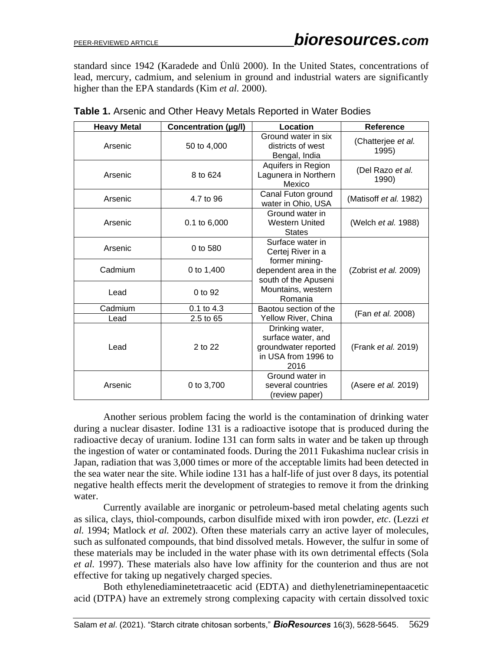standard since 1942 (Karadede and Ünlü 2000). In the United States, concentrations of lead, mercury, cadmium, and selenium in ground and industrial waters are significantly higher than the EPA standards (Kim *et al.* 2000).

| <b>Heavy Metal</b> | Concentration (µg/l) | Location                                                                                     | Reference                   |
|--------------------|----------------------|----------------------------------------------------------------------------------------------|-----------------------------|
| Arsenic            | 50 to 4,000          | Ground water in six<br>districts of west<br>Bengal, India                                    | (Chatterjee et al.<br>1995) |
| Arsenic            | 8 to 624             | Aquifers in Region<br>Lagunera in Northern<br>Mexico                                         | (Del Razo et al.<br>1990)   |
| Arsenic            | 4.7 to 96            | Canal Futon ground<br>water in Ohio, USA                                                     | (Matisoff et al. 1982)      |
| Arsenic            | $0.1$ to $6,000$     | Ground water in<br><b>Western United</b><br><b>States</b>                                    | (Welch et al. 1988)         |
| Arsenic            | 0 to 580             | Surface water in<br>Certej River in a                                                        |                             |
| Cadmium            | 0 to 1,400           | former mining-<br>dependent area in the<br>south of the Apuseni                              | (Zobrist et al. 2009)       |
| Lead               | 0 to 92              | Mountains, western<br>Romania                                                                |                             |
| Cadmium            | 0.1 to 4.3           | Baotou section of the                                                                        | (Fan et al. 2008)           |
| Lead               | 2.5 to 65            | Yellow River, China                                                                          |                             |
| Lead               | $2$ to $22$          | Drinking water,<br>surface water, and<br>groundwater reported<br>in USA from 1996 to<br>2016 | (Frank et al. 2019)         |
| Arsenic            | 0 to 3,700           | Ground water in<br>several countries<br>(review paper)                                       | (Asere et al. 2019)         |

**Table 1.** Arsenic and Other Heavy Metals Reported in Water Bodies

Another serious problem facing the world is the contamination of drinking water during a nuclear disaster. Iodine 131 is a radioactive isotope that is produced during the radioactive decay of uranium. Iodine 131 can form salts in water and be taken up through the ingestion of water or contaminated foods. During the 2011 Fukashima nuclear crisis in Japan, radiation that was 3,000 times or more of the acceptable limits had been detected in the sea water near the site. While iodine 131 has a half-life of just over 8 days, its potential negative health effects merit the development of strategies to remove it from the drinking water.

Currently available are inorganic or petroleum-based metal chelating agents such as silica, clays, thiol-compounds, carbon disulfide mixed with iron powder, *etc*. (Lezzi *et al.* 1994; Matlock *et al.* 2002). Often these materials carry an active layer of molecules, such as sulfonated compounds, that bind dissolved metals. However, the sulfur in some of these materials may be included in the water phase with its own detrimental effects (Sola *et al.* 1997). These materials also have low affinity for the counterion and thus are not effective for taking up negatively charged species.

Both ethylenediaminetetraacetic acid (EDTA) and diethylenetriaminepentaacetic acid (DTPA) have an extremely strong complexing capacity with certain dissolved toxic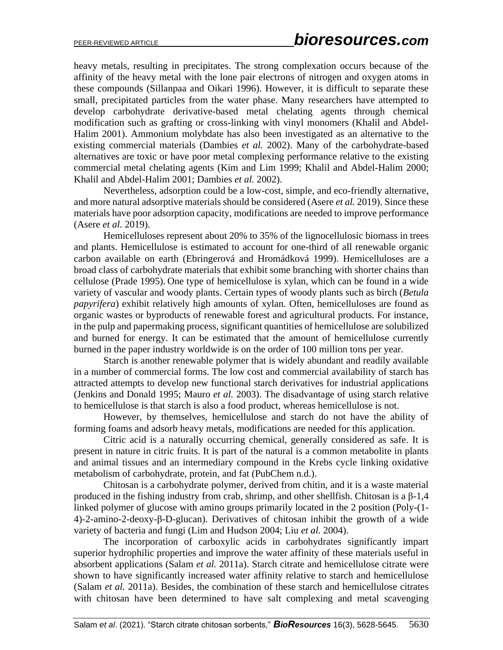heavy metals, resulting in precipitates. The strong complexation occurs because of the affinity of the heavy metal with the lone pair electrons of nitrogen and oxygen atoms in these compounds (Sillanpaa and Oikari 1996). However, it is difficult to separate these small, precipitated particles from the water phase. Many researchers have attempted to develop carbohydrate derivative-based metal chelating agents through chemical modification such as grafting or cross-linking with vinyl monomers (Khalil and Abdel-Halim 2001). Ammonium molybdate has also been investigated as an alternative to the existing commercial materials (Dambies *et al.* 2002). Many of the carbohydrate-based alternatives are toxic or have poor metal complexing performance relative to the existing commercial metal chelating agents (Kim and Lim 1999; Khalil and Abdel-Halim 2000; Khalil and Abdel-Halim 2001; Dambies *et al.* 2002).

Nevertheless, adsorption could be a low-cost, simple, and eco-friendly alternative, and more natural adsorptive materials should be considered (Asere *et al.* 2019). Since these materials have poor adsorption capacity, modifications are needed to improve performance (Asere *et al.* 2019).

Hemicelluloses represent about 20% to 35% of the lignocellulosic biomass in trees and plants. Hemicellulose is estimated to account for one-third of all renewable organic carbon available on earth (Ebringerová and Hromádková 1999). Hemicelluloses are a broad class of carbohydrate materials that exhibit some branching with shorter chains than cellulose (Prade 1995). One type of hemicellulose is xylan, which can be found in a wide variety of vascular and woody plants. Certain types of woody plants such as birch (*Betula papyrifera*) exhibit relatively high amounts of xylan. Often, hemicelluloses are found as organic wastes or byproducts of renewable forest and agricultural products. For instance, in the pulp and papermaking process, significant quantities of hemicellulose are solubilized and burned for energy. It can be estimated that the amount of hemicellulose currently burned in the paper industry worldwide is on the order of 100 million tons per year.

Starch is another renewable polymer that is widely abundant and readily available in a number of commercial forms. The low cost and commercial availability of starch has attracted attempts to develop new functional starch derivatives for industrial applications (Jenkins and Donald 1995; Mauro *et al.* 2003). The disadvantage of using starch relative to hemicellulose is that starch is also a food product, whereas hemicellulose is not.

However, by themselves, hemicellulose and starch do not have the ability of forming foams and adsorb heavy metals, modifications are needed for this application.

Citric acid is a naturally occurring chemical, generally considered as safe. It is present in nature in citric fruits. It is part of the natural is a common metabolite in plants and animal tissues and an intermediary compound in the Krebs cycle linking oxidative metabolism of carbohydrate, protein, and fat (PubChem n.d.).

Chitosan is a carbohydrate polymer, derived from chitin, and it is a waste material produced in the fishing industry from crab, shrimp, and other shellfish. Chitosan is a β-1,4 linked polymer of glucose with amino groups primarily located in the 2 position (Poly-(1- 4)-2-amino-2-deoxy-β-D-glucan). Derivatives of chitosan inhibit the growth of a wide variety of bacteria and fungi (Lim and Hudson 2004; Liu *et al.* 2004).

The incorporation of carboxylic acids in carbohydrates significantly impart superior hydrophilic properties and improve the water affinity of these materials useful in absorbent applications (Salam *et al.* 2011a). Starch citrate and hemicellulose citrate were shown to have significantly increased water affinity relative to starch and hemicellulose (Salam *et al.* 2011a). Besides, the combination of these starch and hemicellulose citrates with chitosan have been determined to have salt complexing and metal scavenging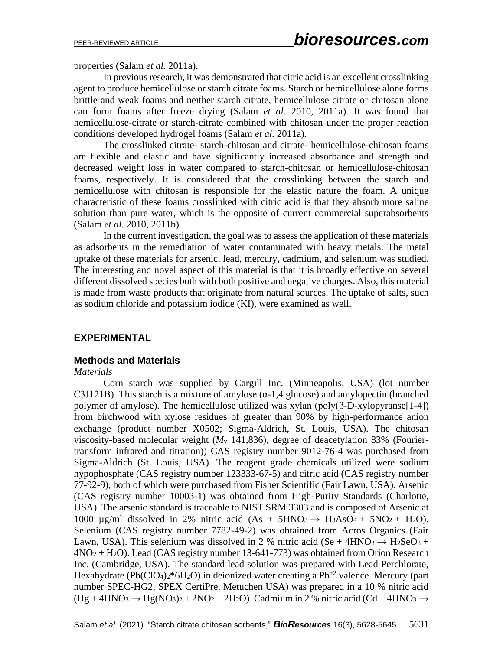properties (Salam *et al.* 2011a).

In previous research, it was demonstrated that citric acid is an excellent crosslinking agent to produce hemicellulose or starch citrate foams. Starch or hemicellulose alone forms brittle and weak foams and neither starch citrate, hemicellulose citrate or chitosan alone can form foams after freeze drying (Salam *et al.* 2010, 2011a). It was found that hemicellulose-citrate or starch-citrate combined with chitosan under the proper reaction conditions developed hydrogel foams (Salam *et al.* 2011a).

The crosslinked citrate- starch-chitosan and citrate- hemicellulose-chitosan foams are flexible and elastic and have significantly increased absorbance and strength and decreased weight loss in water compared to starch-chitosan or hemicellulose-chitosan foams, respectively. It is considered that the crosslinking between the starch and hemicellulose with chitosan is responsible for the elastic nature the foam. A unique characteristic of these foams crosslinked with citric acid is that they absorb more saline solution than pure water, which is the opposite of current commercial superabsorbents (Salam *et al.* 2010, 2011b).

In the current investigation, the goal was to assess the application of these materials as adsorbents in the remediation of water contaminated with heavy metals. The metal uptake of these materials for arsenic, lead, mercury, cadmium, and selenium was studied. The interesting and novel aspect of this material is that it is broadly effective on several different dissolved species both with both positive and negative charges. Also, this material is made from waste products that originate from natural sources. The uptake of salts, such as sodium chloride and potassium iodide (KI), were examined as well.

## **EXPERIMENTAL**

#### **Methods and Materials**

#### *Materials*

Corn starch was supplied by Cargill Inc. (Minneapolis, USA) (lot number C3J121B). This starch is a mixture of amylose  $(\alpha-1, 4)$  glucose) and amylopectin (branched polymer of amylose). The hemicellulose utilized was xylan (poly(β-D-xylopyranse[1-4]) from birchwood with xylose residues of greater than 90% by high-performance anion exchange (product number X0502; Sigma-Aldrich, St. Louis, USA). The chitosan viscosity-based molecular weight  $(M<sub>v</sub> 141,836)$ , degree of deacetylation 83% (Fouriertransform infrared and titration)) CAS registry number 9012-76-4 was purchased from Sigma-Aldrich (St. Louis, USA). The reagent grade chemicals utilized were sodium hypophosphate (CAS registry number 123333-67-5) and citric acid (CAS registry number 77-92-9), both of which were purchased from Fisher Scientific (Fair Lawn, USA). Arsenic (CAS registry number 10003-1) was obtained from High-Purity Standards (Charlotte, USA). The arsenic standard is traceable to NIST SRM 3303 and is composed of Arsenic at 1000  $\mu$ g/ml dissolved in 2% nitric acid (As + 5HNO<sub>3</sub>  $\rightarrow$  H<sub>3</sub>AsO<sub>4</sub> + 5NO<sub>2</sub> + H<sub>2</sub>O). Selenium (CAS registry number 7782-49-2) was obtained from Acros Organics (Fair Lawn, USA). This selenium was dissolved in 2 % nitric acid (Se + 4HNO<sub>3</sub>  $\rightarrow$  H<sub>2</sub>SeO<sub>3</sub> +  $4NO<sub>2</sub> + H<sub>2</sub>O$ ). Lead (CAS registry number 13-641-773) was obtained from Orion Research Inc. (Cambridge, USA). The standard lead solution was prepared with Lead Perchlorate, Hexahydrate (Pb(ClO<sub>4</sub>)<sub>2</sub>\*6H<sub>2</sub>O) in deionized water creating a Pb<sup>+2</sup> valence. Mercury (part number SPEC-HG2, SPEX CertiPre, Metuchen USA) was prepared in a 10 % nitric acid  $(Hg + 4HNO<sub>3</sub> \rightarrow Hg(NO<sub>3</sub>)<sub>2</sub> + 2NO<sub>2</sub> + 2H<sub>2</sub>O)$ . Cadmium in 2 % nitric acid (Cd + 4HNO<sub>3</sub>  $\rightarrow$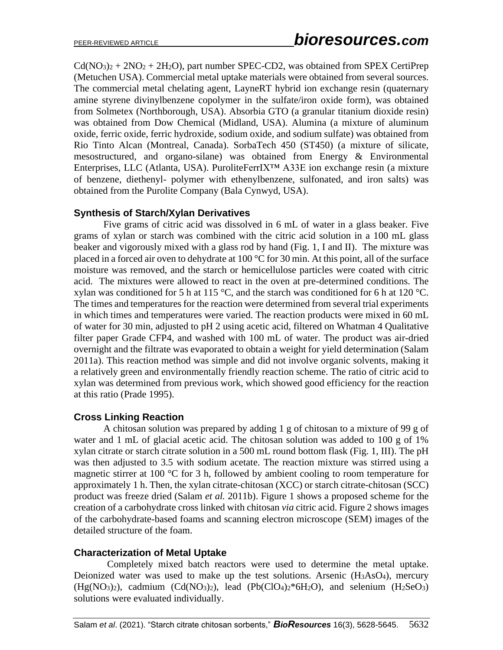$Cd(NO<sub>3</sub>)<sub>2</sub> + 2NO<sub>2</sub> + 2H<sub>2</sub>O)$ , part number SPEC-CD2, was obtained from SPEX CertiPrep (Metuchen USA). Commercial metal uptake materials were obtained from several sources. The commercial metal chelating agent, LayneRT hybrid ion exchange resin (quaternary amine styrene divinylbenzene copolymer in the sulfate/iron oxide form), was obtained from Solmetex (Northborough, USA). Absorbia GTO (a granular titanium dioxide resin) was obtained from Dow Chemical (Midland, USA). Alumina (a mixture of aluminum oxide, ferric oxide, ferric hydroxide, sodium oxide, and sodium sulfate) was obtained from Rio Tinto Alcan (Montreal, Canada). SorbaTech 450 (ST450) (a mixture of silicate, mesostructured, and organo-silane) was obtained from Energy & Environmental Enterprises, LLC (Atlanta, USA). PuroliteFerrIX™ A33E ion exchange resin (a mixture of benzene, diethenyl- polymer with ethenylbenzene, sulfonated, and iron salts) was obtained from the Purolite Company (Bala Cynwyd, USA).

## **Synthesis of Starch/Xylan Derivatives**

Five grams of citric acid was dissolved in 6 mL of water in a glass beaker. Five grams of xylan or starch was combined with the citric acid solution in a 100 mL glass beaker and vigorously mixed with a glass rod by hand (Fig. 1, I and II). The mixture was placed in a forced air oven to dehydrate at 100 °C for 30 min. At this point, all of the surface moisture was removed, and the starch or hemicellulose particles were coated with citric acid. The mixtures were allowed to react in the oven at pre-determined conditions. The xylan was conditioned for 5 h at 115 °C, and the starch was conditioned for 6 h at 120 °C. The times and temperatures for the reaction were determined from several trial experiments in which times and temperatures were varied. The reaction products were mixed in 60 mL of water for 30 min, adjusted to pH 2 using acetic acid, filtered on Whatman 4 Qualitative filter paper Grade CFP4, and washed with 100 mL of water. The product was air-dried overnight and the filtrate was evaporated to obtain a weight for yield determination (Salam 2011a). This reaction method was simple and did not involve organic solvents, making it a relatively green and environmentally friendly reaction scheme. The ratio of citric acid to xylan was determined from previous work, which showed good efficiency for the reaction at this ratio (Prade 1995).

## **Cross Linking Reaction**

A chitosan solution was prepared by adding 1 g of chitosan to a mixture of 99 g of water and 1 mL of glacial acetic acid. The chitosan solution was added to 100 g of 1% xylan citrate or starch citrate solution in a 500 mL round bottom flask (Fig. 1, III). The pH was then adjusted to 3.5 with sodium acetate. The reaction mixture was stirred using a magnetic stirrer at 100 °C for 3 h, followed by ambient cooling to room temperature for approximately 1 h. Then, the xylan citrate-chitosan (XCC) or starch citrate-chitosan (SCC) product was freeze dried (Salam *et al.* 2011b). Figure 1 shows a proposed scheme for the creation of a carbohydrate cross linked with chitosan *via* citric acid. Figure 2 shows images of the carbohydrate-based foams and scanning electron microscope (SEM) images of the detailed structure of the foam.

## **Characterization of Metal Uptake**

Completely mixed batch reactors were used to determine the metal uptake. Deionized water was used to make up the test solutions. Arsenic (H3AsO4), mercury  $(Hg(NO_3)_2)$ , cadmium  $(Cd(NO_3)_2)$ , lead  $(Pb(CIO_4)_2*6H_2O)$ , and selenium  $(H_2SeO_3)$ solutions were evaluated individually.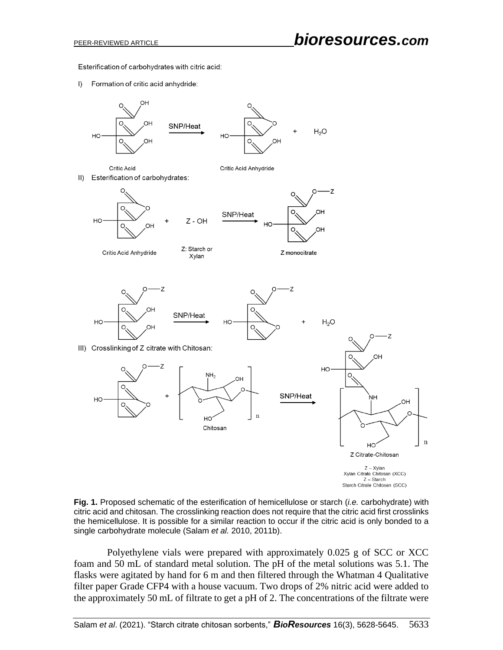Esterification of carbohydrates with citric acid:

 $\vert$ ) Formation of critic acid anhydride:



**Fig. 1.** Proposed schematic of the esterification of hemicellulose or starch (*i.e.* carbohydrate) with citric acid and chitosan. The crosslinking reaction does not require that the citric acid first crosslinks the hemicellulose. It is possible for a similar reaction to occur if the citric acid is only bonded to a single carbohydrate molecule (Salam *et al.* 2010, 2011b).

Polyethylene vials were prepared with approximately 0.025 g of SCC or XCC foam and 50 mL of standard metal solution. The pH of the metal solutions was 5.1. The flasks were agitated by hand for 6 m and then filtered through the Whatman 4 Qualitative filter paper Grade CFP4 with a house vacuum. Two drops of 2% nitric acid were added to the approximately 50 mL of filtrate to get a pH of 2. The concentrations of the filtrate were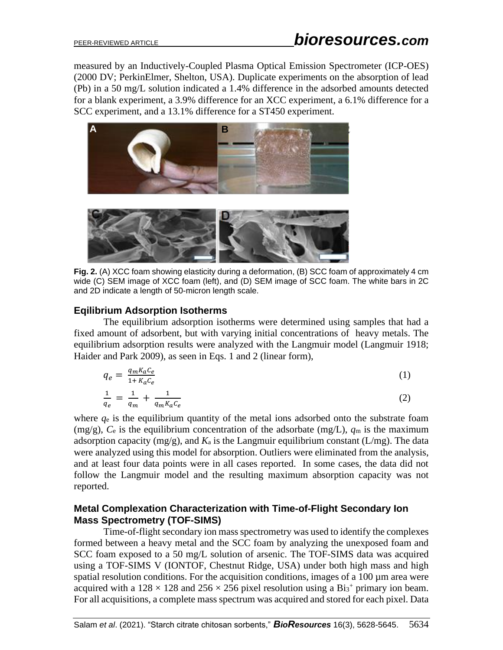measured by an Inductively-Coupled Plasma Optical Emission Spectrometer (ICP-OES) (2000 DV; PerkinElmer, Shelton, USA). Duplicate experiments on the absorption of lead (Pb) in a 50 mg/L solution indicated a 1.4% difference in the adsorbed amounts detected for a blank experiment, a 3.9% difference for an XCC experiment, a 6.1% difference for a SCC experiment, and a 13.1% difference for a ST450 experiment.



**Fig. 2.** (A) XCC foam showing elasticity during a deformation, (B) SCC foam of approximately 4 cm wide (C) SEM image of XCC foam (left), and (D) SEM image of SCC foam. The white bars in 2C and 2D indicate a length of 50-micron length scale.

## **Eqilibrium Adsorption Isotherms**

The equilibrium adsorption isotherms were determined using samples that had a fixed amount of adsorbent, but with varying initial concentrations of heavy metals. The equilibrium adsorption results were analyzed with the Langmuir model (Langmuir 1918; Haider and Park 2009), as seen in Eqs. 1 and 2 (linear form),

$$
q_e = \frac{q_m K_a c_e}{1 + K_a c_e} \tag{1}
$$

$$
\frac{1}{q_e} = \frac{1}{q_m} + \frac{1}{q_m K_a C_e} \tag{2}
$$

where *q*<sup>e</sup> is the equilibrium quantity of the metal ions adsorbed onto the substrate foam (mg/g),  $C_e$  is the equilibrium concentration of the adsorbate (mg/L),  $q_m$  is the maximum adsorption capacity (mg/g), and  $K_a$  is the Langmuir equilibrium constant (L/mg). The data were analyzed using this model for absorption. Outliers were eliminated from the analysis, and at least four data points were in all cases reported. In some cases, the data did not follow the Langmuir model and the resulting maximum absorption capacity was not reported.

## **Metal Complexation Characterization with Time-of-Flight Secondary Ion Mass Spectrometry (TOF-SIMS)**

Time-of-flight secondary ion mass spectrometry was used to identify the complexes formed between a heavy metal and the SCC foam by analyzing the unexposed foam and SCC foam exposed to a 50 mg/L solution of arsenic. The TOF-SIMS data was acquired using a TOF-SIMS V (IONTOF, Chestnut Ridge, USA) under both high mass and high spatial resolution conditions. For the acquisition conditions, images of a 100  $\mu$ m area were acquired with a  $128 \times 128$  and  $256 \times 256$  pixel resolution using a Bi<sub>3</sub><sup>+</sup> primary ion beam. For all acquisitions, a complete mass spectrum was acquired and stored for each pixel. Data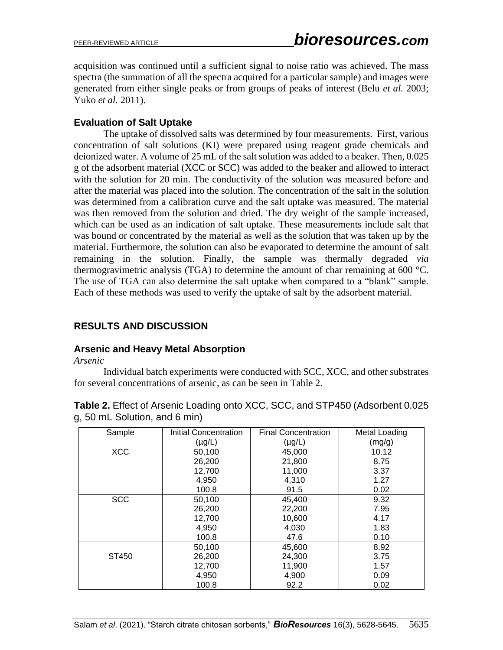acquisition was continued until a sufficient signal to noise ratio was achieved. The mass spectra (the summation of all the spectra acquired for a particular sample) and images were generated from either single peaks or from groups of peaks of interest (Belu *et al.* 2003; Yuko *et al.* 2011).

#### **Evaluation of Salt Uptake**

The uptake of dissolved salts was determined by four measurements. First, various concentration of salt solutions (KI) were prepared using reagent grade chemicals and deionized water. A volume of 25 mL of the salt solution was added to a beaker. Then, 0.025 g of the adsorbent material (XCC or SCC) was added to the beaker and allowed to interact with the solution for 20 min. The conductivity of the solution was measured before and after the material was placed into the solution. The concentration of the salt in the solution was determined from a calibration curve and the salt uptake was measured. The material was then removed from the solution and dried. The dry weight of the sample increased, which can be used as an indication of salt uptake. These measurements include salt that was bound or concentrated by the material as well as the solution that was taken up by the material. Furthermore, the solution can also be evaporated to determine the amount of salt remaining in the solution. Finally, the sample was thermally degraded *via* thermogravimetric analysis (TGA) to determine the amount of char remaining at 600 °C. The use of TGA can also determine the salt uptake when compared to a "blank" sample. Each of these methods was used to verify the uptake of salt by the adsorbent material.

## **RESULTS AND DISCUSSION**

## **Arsenic and Heavy Metal Absorption**

*Arsenic*

Individual batch experiments were conducted with SCC, XCC, and other substrates for several concentrations of arsenic, as can be seen in Table 2.

| Sample     | Initial Concentration | <b>Final Concentration</b> | Metal Loading |
|------------|-----------------------|----------------------------|---------------|
|            | $(\mu g/L)$           | $(\mu g/L)$                | (mg/g)        |
| <b>XCC</b> | 50,100                | 45,000                     | 10.12         |
|            | 26,200                | 21,800                     | 8.75          |
|            | 12,700                | 11,000                     | 3.37          |
|            | 4,950                 | 4,310                      | 1.27          |
|            | 100.8                 | 91.5                       | 0.02          |
| <b>SCC</b> | 50,100                | 45,400                     | 9.32          |
|            | 26,200                | 22,200                     | 7.95          |
|            | 12,700                | 10,600                     | 4.17          |
|            | 4,950                 | 4,030                      | 1.83          |
|            | 100.8                 | 47.6                       | 0.10          |
|            | 50,100                | 45,600                     | 8.92          |
| ST450      | 26,200                | 24,300                     | 3.75          |
|            | 12,700                | 11,900                     | 1.57          |
|            | 4,950                 | 4,900                      | 0.09          |
|            | 100.8                 | 92.2                       | 0.02          |

**Table 2.** Effect of Arsenic Loading onto XCC, SCC, and STP450 (Adsorbent 0.025 g, 50 mL Solution, and 6 min)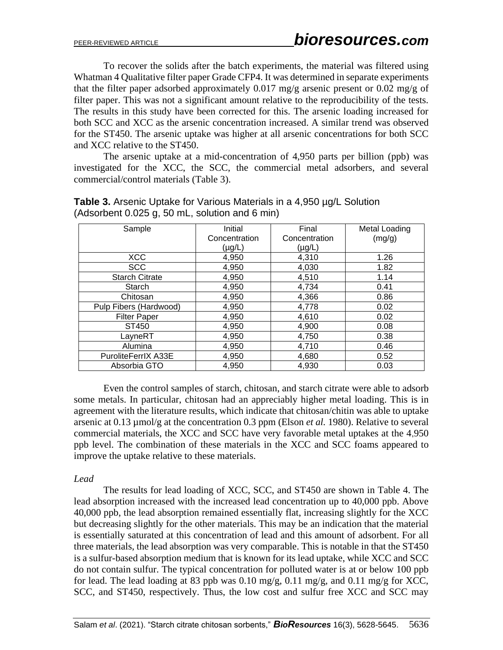To recover the solids after the batch experiments, the material was filtered using Whatman 4 Qualitative filter paper Grade CFP4. It was determined in separate experiments that the filter paper adsorbed approximately 0.017 mg/g arsenic present or 0.02 mg/g of filter paper. This was not a significant amount relative to the reproducibility of the tests. The results in this study have been corrected for this. The arsenic loading increased for both SCC and XCC as the arsenic concentration increased. A similar trend was observed for the ST450. The arsenic uptake was higher at all arsenic concentrations for both SCC and XCC relative to the ST450.

The arsenic uptake at a mid-concentration of 4,950 parts per billion (ppb) was investigated for the XCC, the SCC, the commercial metal adsorbers, and several commercial/control materials (Table 3).

| Sample                 | Initial       | Final         | Metal Loading |
|------------------------|---------------|---------------|---------------|
|                        | Concentration | Concentration | (mg/g)        |
|                        | $(\mu g/L)$   | $(\mu g/L)$   |               |
| <b>XCC</b>             | 4,950         | 4,310         | 1.26          |
| <b>SCC</b>             | 4,950         | 4,030         | 1.82          |
| <b>Starch Citrate</b>  | 4,950         | 4,510         | 1.14          |
| Starch                 | 4,950         | 4,734         | 0.41          |
| Chitosan               | 4,950         | 4,366         | 0.86          |
| Pulp Fibers (Hardwood) | 4,950         | 4,778         | 0.02          |
| <b>Filter Paper</b>    | 4,950         | 4,610         | 0.02          |
| ST450                  | 4,950         | 4,900         | 0.08          |
| LayneRT                | 4,950         | 4,750         | 0.38          |
| Alumina                | 4,950         | 4,710         | 0.46          |
| PuroliteFerrIX A33E    | 4,950         | 4,680         | 0.52          |
| Absorbia GTO           | 4,950         | 4,930         | 0.03          |

**Table 3.** Arsenic Uptake for Various Materials in a 4,950 µg/L Solution (Adsorbent 0.025 g, 50 mL, solution and 6 min)

Even the control samples of starch, chitosan, and starch citrate were able to adsorb some metals. In particular, chitosan had an appreciably higher metal loading. This is in agreement with the literature results, which indicate that chitosan/chitin was able to uptake arsenic at 0.13 µmol/g at the concentration 0.3 ppm (Elson *et al.* 1980). Relative to several commercial materials, the XCC and SCC have very favorable metal uptakes at the 4,950 ppb level. The combination of these materials in the XCC and SCC foams appeared to improve the uptake relative to these materials.

#### *Lead*

The results for lead loading of XCC, SCC, and ST450 are shown in Table 4. The lead absorption increased with the increased lead concentration up to 40,000 ppb. Above 40,000 ppb, the lead absorption remained essentially flat, increasing slightly for the XCC but decreasing slightly for the other materials. This may be an indication that the material is essentially saturated at this concentration of lead and this amount of adsorbent. For all three materials, the lead absorption was very comparable. This is notable in that the ST450 is a sulfur-based absorption medium that is known for its lead uptake, while XCC and SCC do not contain sulfur. The typical concentration for polluted water is at or below 100 ppb for lead. The lead loading at 83 ppb was 0.10 mg/g, 0.11 mg/g, and 0.11 mg/g for XCC, SCC, and ST450, respectively. Thus, the low cost and sulfur free XCC and SCC may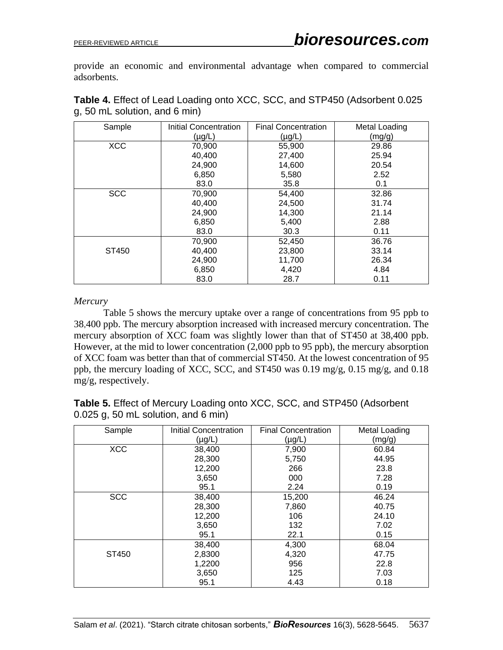provide an economic and environmental advantage when compared to commercial adsorbents.

| Sample     | Initial Concentration | <b>Final Concentration</b> | Metal Loading |
|------------|-----------------------|----------------------------|---------------|
|            | $(\mu g/L)$           | $(\mu g/L)$                | (mg/g)        |
| <b>XCC</b> | 70,900                | 55,900                     | 29.86         |
|            | 40,400                | 27,400                     | 25.94         |
|            | 24,900                | 14,600                     | 20.54         |
|            | 6,850                 | 5,580                      | 2.52          |
|            | 83.0                  | 35.8                       | 0.1           |
| <b>SCC</b> | 70,900                | 54,400                     | 32.86         |
|            | 40,400                | 24,500                     | 31.74         |
|            | 24,900                | 14,300                     | 21.14         |
|            | 6,850                 | 5,400                      | 2.88          |
|            | 83.0                  | 30.3                       | 0.11          |
|            | 70,900                | 52,450                     | 36.76         |
| ST450      | 40,400                | 23,800                     | 33.14         |
|            | 24,900                | 11,700                     | 26.34         |
|            | 6,850                 | 4,420                      | 4.84          |
|            | 83.0                  | 28.7                       | 0.11          |

| <b>Table 4.</b> Effect of Lead Loading onto XCC, SCC, and STP450 (Adsorbent 0.025) |  |  |
|------------------------------------------------------------------------------------|--|--|
| $g1$ , 50 mL solution, and 6 min)                                                  |  |  |

#### *Mercury*

Table 5 shows the mercury uptake over a range of concentrations from 95 ppb to 38,400 ppb. The mercury absorption increased with increased mercury concentration. The mercury absorption of XCC foam was slightly lower than that of ST450 at 38,400 ppb. However, at the mid to lower concentration (2,000 ppb to 95 ppb), the mercury absorption of XCC foam was better than that of commercial ST450. At the lowest concentration of 95 ppb, the mercury loading of XCC, SCC, and ST450 was 0.19 mg/g, 0.15 mg/g, and 0.18 mg/g, respectively.

**Table 5.** Effect of Mercury Loading onto XCC, SCC, and STP450 (Adsorbent 0.025 g, 50 mL solution, and 6 min)

| Sample     | <b>Initial Concentration</b> | <b>Final Concentration</b> | Metal Loading |
|------------|------------------------------|----------------------------|---------------|
|            | $(\mu g/L)$                  | $(\mu g/L)$                | (mg/g)        |
| <b>XCC</b> | 38,400                       | 7,900                      | 60.84         |
|            | 28,300                       | 5,750                      | 44.95         |
|            | 12,200                       | 266                        | 23.8          |
|            | 3,650                        | 000                        | 7.28          |
|            | 95.1                         | 2.24                       | 0.19          |
| <b>SCC</b> | 38,400                       | 15,200                     | 46.24         |
|            | 28,300                       | 7,860                      | 40.75         |
|            | 12,200                       | 106                        | 24.10         |
|            | 3,650                        | 132                        | 7.02          |
|            | 95.1                         | 22.1                       | 0.15          |
|            | 38,400                       | 4,300                      | 68.04         |
| ST450      | 2,8300                       | 4,320                      | 47.75         |
|            | 1,2200                       | 956                        | 22.8          |
|            | 3,650                        | 125                        | 7.03          |
|            | 95.1                         | 4.43                       | 0.18          |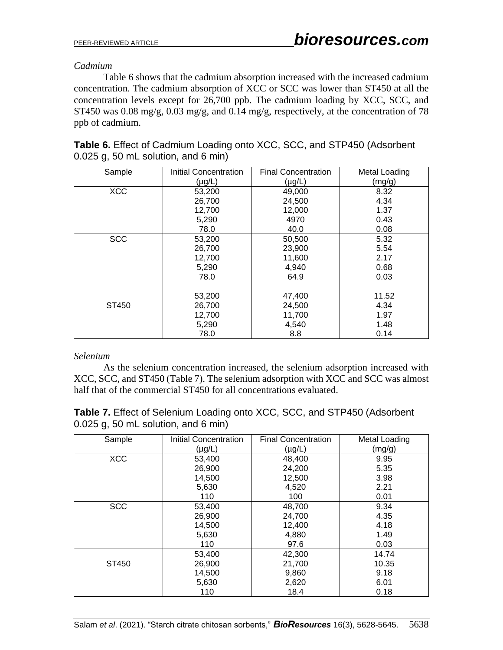#### *Cadmium*

Table 6 shows that the cadmium absorption increased with the increased cadmium concentration. The cadmium absorption of XCC or SCC was lower than ST450 at all the concentration levels except for 26,700 ppb. The cadmium loading by XCC, SCC, and ST450 was 0.08 mg/g, 0.03 mg/g, and 0.14 mg/g, respectively, at the concentration of 78 ppb of cadmium.

| <b>Table 6.</b> Effect of Cadmium Loading onto XCC, SCC, and STP450 (Adsorbent |  |  |
|--------------------------------------------------------------------------------|--|--|
| $0.025$ g, 50 mL solution, and 6 min)                                          |  |  |

| Sample     | <b>Initial Concentration</b> | <b>Final Concentration</b> | Metal Loading |
|------------|------------------------------|----------------------------|---------------|
|            | $(\mu g/L)$                  | $(\mu g/L)$                | (mg/g)        |
| <b>XCC</b> | 53,200                       | 49,000                     | 8.32          |
|            | 26,700                       | 24,500                     | 4.34          |
|            | 12,700                       | 12,000                     | 1.37          |
|            | 5,290                        | 4970                       | 0.43          |
|            | 78.0                         | 40.0                       | 0.08          |
| <b>SCC</b> | 53,200                       | 50,500                     | 5.32          |
|            | 26,700                       | 23,900                     | 5.54          |
|            | 12,700                       | 11,600                     | 2.17          |
|            | 5,290                        | 4,940                      | 0.68          |
|            | 78.0                         | 64.9                       | 0.03          |
|            |                              |                            |               |
|            | 53,200                       | 47,400                     | 11.52         |
| ST450      | 26,700                       | 24,500                     | 4.34          |
|            | 12,700                       | 11,700                     | 1.97          |
|            | 5,290                        | 4,540                      | 1.48          |
|            | 78.0                         | 8.8                        | 0.14          |

#### *Selenium*

As the selenium concentration increased, the selenium adsorption increased with XCC, SCC, and ST450 (Table 7). The selenium adsorption with XCC and SCC was almost half that of the commercial ST450 for all concentrations evaluated.

|  |                                       |  | <b>Table 7.</b> Effect of Selenium Loading onto XCC, SCC, and STP450 (Adsorbent |  |
|--|---------------------------------------|--|---------------------------------------------------------------------------------|--|
|  | $0.025$ g, 50 mL solution, and 6 min) |  |                                                                                 |  |

| Sample     | Initial Concentration<br>$(\mu g/L)$ | <b>Final Concentration</b><br>$(\mu g/L)$ | Metal Loading<br>(mg/g) |
|------------|--------------------------------------|-------------------------------------------|-------------------------|
| <b>XCC</b> | 53,400                               | 48,400                                    | 9.95                    |
|            | 26,900                               | 24,200                                    | 5.35                    |
|            | 14,500                               | 12,500                                    | 3.98                    |
|            | 5,630                                | 4,520                                     | 2.21                    |
|            | 110                                  | 100                                       | 0.01                    |
| <b>SCC</b> | 53,400                               | 48,700                                    | 9.34                    |
|            | 26,900                               | 24,700                                    | 4.35                    |
|            | 14,500                               | 12,400                                    | 4.18                    |
|            | 5,630                                | 4,880                                     | 1.49                    |
|            | 110                                  | 97.6                                      | 0.03                    |
|            | 53,400                               | 42,300                                    | 14.74                   |
| ST450      | 26,900                               | 21,700                                    | 10.35                   |
|            | 14,500                               | 9,860                                     | 9.18                    |
|            | 5,630                                | 2,620                                     | 6.01                    |
|            | 110                                  | 18.4                                      | 0.18                    |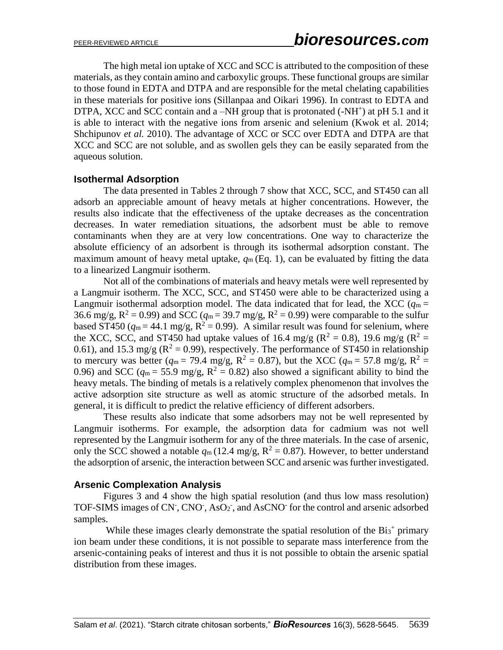The high metal ion uptake of XCC and SCC is attributed to the composition of these materials, as they contain amino and carboxylic groups. These functional groups are similar to those found in EDTA and DTPA and are responsible for the metal chelating capabilities in these materials for positive ions (Sillanpaa and Oikari 1996). In contrast to EDTA and DTPA, XCC and SCC contain and a -NH group that is protonated (-NH<sup>+</sup>) at pH 5.1 and it is able to interact with the negative ions from arsenic and selenium (Kwok et al. 2014; Shchipunov *et al.* 2010). The advantage of XCC or SCC over EDTA and DTPA are that XCC and SCC are not soluble, and as swollen gels they can be easily separated from the aqueous solution.

#### **Isothermal Adsorption**

The data presented in Tables 2 through 7 show that XCC, SCC, and ST450 can all adsorb an appreciable amount of heavy metals at higher concentrations. However, the results also indicate that the effectiveness of the uptake decreases as the concentration decreases. In water remediation situations, the adsorbent must be able to remove contaminants when they are at very low concentrations. One way to characterize the absolute efficiency of an adsorbent is through its isothermal adsorption constant. The maximum amount of heavy metal uptake,  $q_m$  (Eq. 1), can be evaluated by fitting the data to a linearized Langmuir isotherm.

Not all of the combinations of materials and heavy metals were well represented by a Langmuir isotherm. The XCC, SCC, and ST450 were able to be characterized using a Langmuir isothermal adsorption model. The data indicated that for lead, the XCC ( $q_m$  = 36.6 mg/g,  $R^2 = 0.99$ ) and SCC ( $q_m = 39.7$  mg/g,  $R^2 = 0.99$ ) were comparable to the sulfur based ST450 ( $q_m = 44.1$  mg/g,  $R^2 = 0.99$ ). A similar result was found for selenium, where the XCC, SCC, and ST450 had uptake values of 16.4 mg/g ( $R^2 = 0.8$ ), 19.6 mg/g ( $R^2 = 0.8$ ) 0.61), and 15.3 mg/g ( $\mathbb{R}^2 = 0.99$ ), respectively. The performance of ST450 in relationship to mercury was better ( $q_m = 79.4$  mg/g,  $R^2 = 0.87$ ), but the XCC ( $q_m = 57.8$  mg/g,  $R^2 =$ 0.96) and SCC ( $q_m = 55.9$  mg/g,  $R^2 = 0.82$ ) also showed a significant ability to bind the heavy metals. The binding of metals is a relatively complex phenomenon that involves the active adsorption site structure as well as atomic structure of the adsorbed metals. In general, it is difficult to predict the relative efficiency of different adsorbers.

These results also indicate that some adsorbers may not be well represented by Langmuir isotherms. For example, the adsorption data for cadmium was not well represented by the Langmuir isotherm for any of the three materials. In the case of arsenic, only the SCC showed a notable  $q_m(12.4 \text{ mg/g}, \text{R}^2 = 0.87)$ . However, to better understand the adsorption of arsenic, the interaction between SCC and arsenic was further investigated.

#### **Arsenic Complexation Analysis**

Figures 3 and 4 show the high spatial resolution (and thus low mass resolution) TOF-SIMS images of CN, CNO, AsO<sub>2</sub>, and AsCNO for the control and arsenic adsorbed samples.

While these images clearly demonstrate the spatial resolution of the  $Bi3^+$  primary ion beam under these conditions, it is not possible to separate mass interference from the arsenic-containing peaks of interest and thus it is not possible to obtain the arsenic spatial distribution from these images.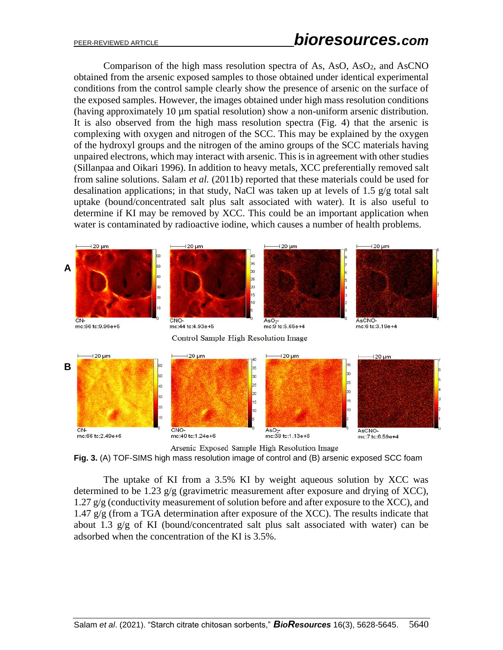Comparison of the high mass resolution spectra of As, AsO, AsO<sub>2</sub>, and AsCNO obtained from the arsenic exposed samples to those obtained under identical experimental conditions from the control sample clearly show the presence of arsenic on the surface of the exposed samples. However, the images obtained under high mass resolution conditions (having approximately 10 µm spatial resolution) show a non-uniform arsenic distribution. It is also observed from the high mass resolution spectra (Fig. 4) that the arsenic is complexing with oxygen and nitrogen of the SCC. This may be explained by the oxygen of the hydroxyl groups and the nitrogen of the amino groups of the SCC materials having unpaired electrons, which may interact with arsenic. This is in agreement with other studies (Sillanpaa and Oikari 1996). In addition to heavy metals, XCC preferentially removed salt from saline solutions. Salam *et al.* (2011b) reported that these materials could be used for desalination applications; in that study, NaCl was taken up at levels of 1.5 g/g total salt uptake (bound/concentrated salt plus salt associated with water). It is also useful to determine if KI may be removed by XCC. This could be an important application when water is contaminated by radioactive iodine, which causes a number of health problems.



Arsenic Exposed Sample High Resolution Image **Fig. 3.** (A) TOF-SIMS high mass resolution image of control and (B) arsenic exposed SCC foam

The uptake of KI from a 3.5% KI by weight aqueous solution by XCC was determined to be 1.23 g/g (gravimetric measurement after exposure and drying of XCC), 1.27  $g/g$  (conductivity measurement of solution before and after exposure to the XCC), and 1.47 g/g (from a TGA determination after exposure of the XCC). The results indicate that about 1.3 g/g of KI (bound/concentrated salt plus salt associated with water) can be

adsorbed when the concentration of the KI is 3.5%.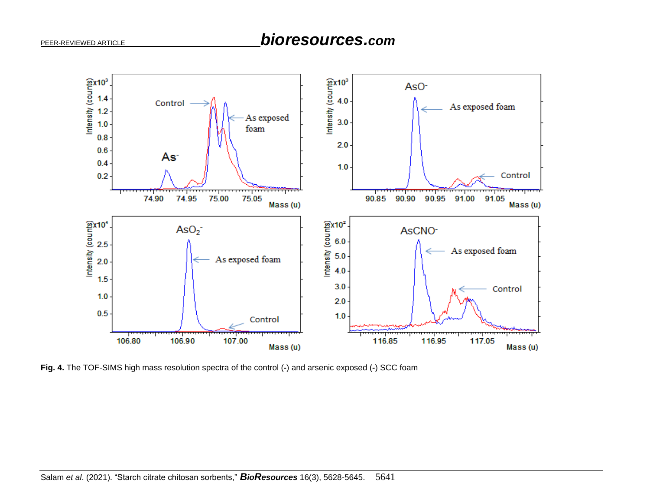

**Fig. 4.** The TOF-SIMS high mass resolution spectra of the control (**-**) and arsenic exposed (**-**) SCC foam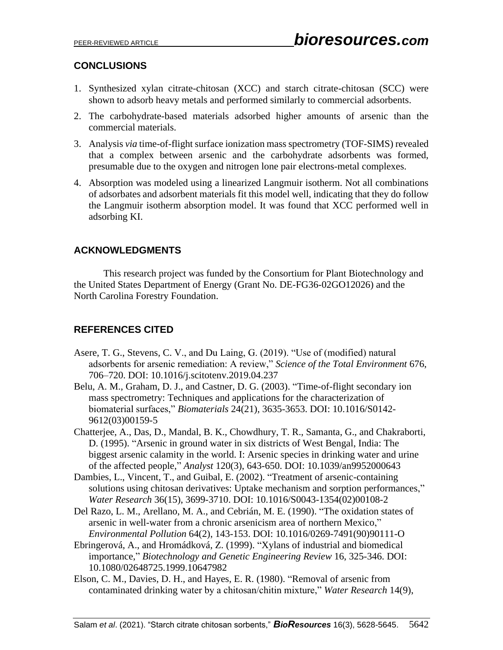# **CONCLUSIONS**

- 1. Synthesized xylan citrate-chitosan (XCC) and starch citrate-chitosan (SCC) were shown to adsorb heavy metals and performed similarly to commercial adsorbents.
- 2. The carbohydrate-based materials adsorbed higher amounts of arsenic than the commercial materials.
- 3. Analysis *via* time-of-flight surface ionization mass spectrometry (TOF-SIMS) revealed that a complex between arsenic and the carbohydrate adsorbents was formed, presumable due to the oxygen and nitrogen lone pair electrons-metal complexes.
- 4. Absorption was modeled using a linearized Langmuir isotherm. Not all combinations of adsorbates and adsorbent materials fit this model well, indicating that they do follow the Langmuir isotherm absorption model. It was found that XCC performed well in adsorbing KI.

# **ACKNOWLEDGMENTS**

This research project was funded by the Consortium for Plant Biotechnology and the United States Department of Energy (Grant No. DE-FG36-02GO12026) and the North Carolina Forestry Foundation.

# **REFERENCES CITED**

- Asere, T. G., Stevens, C. V., and Du Laing, G. (2019). "Use of (modified) natural adsorbents for arsenic remediation: A review," *Science of the Total Environment* 676, 706–720. DOI: 10.1016/j.scitotenv.2019.04.237
- Belu, A. M., Graham, D. J., and Castner, D. G. (2003). "Time-of-flight secondary ion mass spectrometry: Techniques and applications for the characterization of biomaterial surfaces," *Biomaterials* 24(21), 3635-3653. DOI: 10.1016/S0142- 9612(03)00159-5
- Chatterjee, A., Das, D., Mandal, B. K., Chowdhury, T. R., Samanta, G., and Chakraborti, D. (1995). "Arsenic in ground water in six districts of West Bengal, India: The biggest arsenic calamity in the world. I: Arsenic species in drinking water and urine of the affected people," *Analyst* 120(3), 643-650. DOI: 10.1039/an9952000643
- Dambies, L., Vincent, T., and Guibal, E. (2002). "Treatment of arsenic-containing solutions using chitosan derivatives: Uptake mechanism and sorption performances," *Water Research* 36(15), 3699-3710. DOI: 10.1016/S0043-1354(02)00108-2
- Del Razo, L. M., Arellano, M. A., and Cebrián, M. E. (1990). "The oxidation states of arsenic in well-water from a chronic arsenicism area of northern Mexico," *Environmental Pollution* 64(2), 143-153. DOI: 10.1016/0269-7491(90)90111-O
- Ebringerová, A., and Hromádková, Z. (1999). "Xylans of industrial and biomedical importance," *Biotechnology and Genetic Engineering Review* 16, 325-346. DOI: 10.1080/02648725.1999.10647982
- Elson, C. M., Davies, D. H., and Hayes, E. R. (1980). "Removal of arsenic from contaminated drinking water by a chitosan/chitin mixture," *Water Research* 14(9),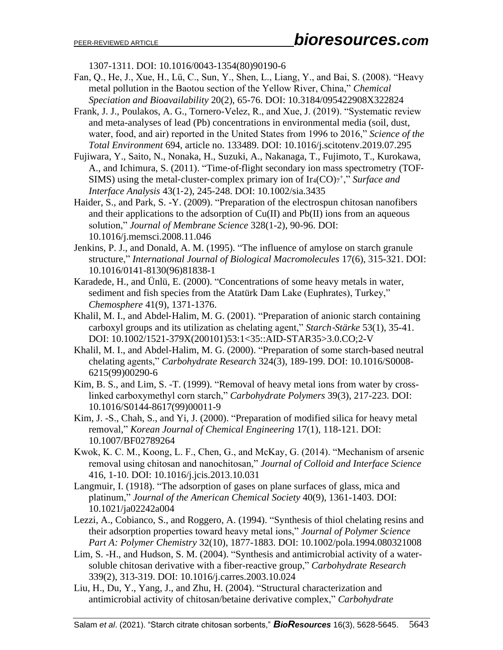1307-1311. DOI: 10.1016/0043-1354(80)90190-6

- Fan, Q., He, J., Xue, H., Lü, C., Sun, Y., Shen, L., Liang, Y., and Bai, S. (2008). "Heavy metal pollution in the Baotou section of the Yellow River, China," *Chemical Speciation and Bioavailability* 20(2), 65-76. DOI: 10.3184/095422908X322824
- Frank, J. J., Poulakos, A. G., Tornero-Velez, R., and Xue, J. (2019). "Systematic review and meta-analyses of lead (Pb) concentrations in environmental media (soil, dust, water, food, and air) reported in the United States from 1996 to 2016," *Science of the Total Environment* 694, article no. 133489. DOI: 10.1016/j.scitotenv.2019.07.295
- Fujiwara, Y., Saito, N., Nonaka, H., Suzuki, A., Nakanaga, T., Fujimoto, T., Kurokawa, A., and Ichimura, S. (2011). "Time‐of‐flight secondary ion mass spectrometry (TOF‐ SIMS) using the metal-cluster-complex primary ion of Ir4(CO)<sup>+</sup>," Surface and *Interface Analysis* 43(1‐2), 245-248. DOI: 10.1002/sia.3435
- Haider, S., and Park, S. -Y. (2009). "Preparation of the electrospun chitosan nanofibers and their applications to the adsorption of  $Cu(II)$  and  $Pb(II)$  ions from an aqueous solution," *Journal of Membrane Science* 328(1-2), 90-96. DOI: 10.1016/j.memsci.2008.11.046
- Jenkins, P. J., and Donald, A. M. (1995). "The influence of amylose on starch granule structure," *International Journal of Biological Macromolecules* 17(6), 315-321. DOI: 10.1016/0141-8130(96)81838-1
- Karadede, H., and Ünlü, E. (2000). "Concentrations of some heavy metals in water, sediment and fish species from the Atatürk Dam Lake (Euphrates), Turkey," *Chemosphere* 41(9), 1371-1376.
- Khalil, M. I., and Abdel-Halim, M. G. (2001). "Preparation of anionic starch containing carboxyl groups and its utilization as chelating agent," *Starch*‐*Stärke* 53(1), 35-41. DOI: 10.1002/1521-379X(200101)53:1<35::AID-STAR35>3.0.CO;2-V
- Khalil, M. I., and Abdel-Halim, M. G. (2000). "Preparation of some starch-based neutral chelating agents," *Carbohydrate Research* 324(3), 189-199. DOI: 10.1016/S0008- 6215(99)00290-6
- Kim, B. S., and Lim, S. -T. (1999). "Removal of heavy metal ions from water by crosslinked carboxymethyl corn starch," *Carbohydrate Polymers* 39(3), 217-223. DOI: 10.1016/S0144-8617(99)00011-9
- Kim, J. -S., Chah, S., and Yi, J. (2000). "Preparation of modified silica for heavy metal removal," *Korean Journal of Chemical Engineering* 17(1), 118-121. DOI: 10.1007/BF02789264
- Kwok, K. C. M., Koong, L. F., Chen, G., and McKay, G. (2014). "Mechanism of arsenic removal using chitosan and nanochitosan," *Journal of Colloid and Interface Science* 416, 1-10. DOI: 10.1016/j.jcis.2013.10.031
- Langmuir, I. (1918). "The adsorption of gases on plane surfaces of glass, mica and platinum," *Journal of the American Chemical Society* 40(9), 1361-1403. DOI: 10.1021/ja02242a004
- Lezzi, A., Cobianco, S., and Roggero, A. (1994). "Synthesis of thiol chelating resins and their adsorption properties toward heavy metal ions," *Journal of Polymer Science Part A: Polymer Chemistry* 32(10), 1877-1883. DOI: 10.1002/pola.1994.080321008
- Lim, S. -H., and Hudson, S. M. (2004). "Synthesis and antimicrobial activity of a watersoluble chitosan derivative with a fiber-reactive group," *Carbohydrate Research* 339(2), 313-319. DOI: 10.1016/j.carres.2003.10.024
- Liu, H., Du, Y., Yang, J., and Zhu, H. (2004). "Structural characterization and antimicrobial activity of chitosan/betaine derivative complex," *Carbohydrate*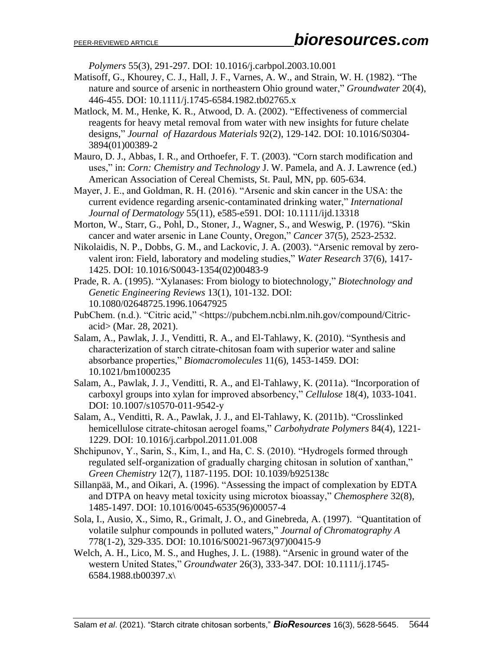*Polymers* 55(3), 291-297. DOI: 10.1016/j.carbpol.2003.10.001

- Matisoff, G., Khourey, C. J., Hall, J. F., Varnes, A. W., and Strain, W. H. (1982). "The nature and source of arsenic in northeastern Ohio ground water," *Groundwater* 20(4), 446-455. DOI: 10.1111/j.1745-6584.1982.tb02765.x
- Matlock, M. M., Henke, K. R., Atwood, D. A. (2002). "Effectiveness of commercial reagents for heavy metal removal from water with new insights for future chelate designs," *Journal [of Hazardous Materials](http://www.sciencedirect.com/science/journal/03043894)* 92(2), 129-142. DOI: 10.1016/S0304- 3894(01)00389-2
- Mauro, D. J., Abbas, I. R., and Orthoefer, F. T. (2003). "Corn starch modification and uses," in: *Corn: Chemistry and Technology* J. W. Pamela, and A. J. Lawrence (ed.) American Association of Cereal Chemists, St. Paul, MN, pp. 605-634.
- Mayer, J. E., and Goldman, R. H. (2016). "Arsenic and skin cancer in the USA: the current evidence regarding arsenic-contaminated drinking water," *International Journal of Dermatology* 55(11), e585-e591. DOI: 10.1111/ijd.13318
- Morton, W., Starr, G., Pohl, D., Stoner, J., Wagner, S., and Weswig, P. (1976). "Skin cancer and water arsenic in Lane County, Oregon," *Cancer* 37(5), 2523-2532.
- Nikolaidis, N. P., Dobbs, G. M., and Lackovic, J. A. (2003). "Arsenic removal by zerovalent iron: Field, laboratory and modeling studies," *Water Research* 37(6), 1417- 1425. DOI: 10.1016/S0043-1354(02)00483-9
- Prade, R. A. (1995). "Xylanases: From biology to biotechnology," *Biotechnology and Genetic Engineering Reviews* 13(1), 101-132. DOI: 10.1080/02648725.1996.10647925
- PubChem. (n.d.). "Citric acid," <https://pubchem.ncbi.nlm.nih.gov/compound/Citricacid> (Mar. 28, 2021).
- Salam, A., Pawlak, J. J., Venditti, R. A., and El-Tahlawy, K. (2010). "Synthesis and characterization of starch citrate-chitosan foam with superior water and saline absorbance properties," *Biomacromolecules* 11(6), 1453-1459. DOI: 10.1021/bm1000235
- Salam, A., Pawlak, J. J., Venditti, R. A., and El-Tahlawy, K. (2011a). "Incorporation of carboxyl groups into xylan for improved absorbency," *Cellulose* 18(4), 1033-1041. DOI: 10.1007/s10570-011-9542-y
- Salam, A., Venditti, R. A., Pawlak, J. J., and El-Tahlawy, K. (2011b). "Crosslinked hemicellulose citrate-chitosan aerogel foams," *Carbohydrate Polymers* 84(4), 1221- 1229. DOI: 10.1016/j.carbpol.2011.01.008
- Shchipunov, Y., Sarin, S., Kim, I., and Ha, C. S. (2010). "Hydrogels formed through regulated self-organization of gradually charging chitosan in solution of xanthan," *Green Chemistry* 12(7), 1187-1195. DOI: 10.1039/b925138c
- Sillanpää, M., and Oikari, A. (1996). "Assessing the impact of complexation by EDTA and DTPA on heavy metal toxicity using microtox bioassay," *Chemosphere* 32(8), 1485-1497. DOI: 10.1016/0045-6535(96)00057-4
- Sola, I., Ausio, X., Simo, R., Grimalt, J. O., and Ginebreda, A. (1997). "Quantitation of volatile sulphur compounds in polluted waters," *Journal of Chromatography A* 778(1-2), 329-335. DOI: 10.1016/S0021-9673(97)00415-9
- Welch, A. H., Lico, M. S., and Hughes, J. L. (1988). "Arsenic in ground water of the western United States," *Groundwater* 26(3), 333-347. DOI: 10.1111/j.1745- 6584.1988.tb00397.x\